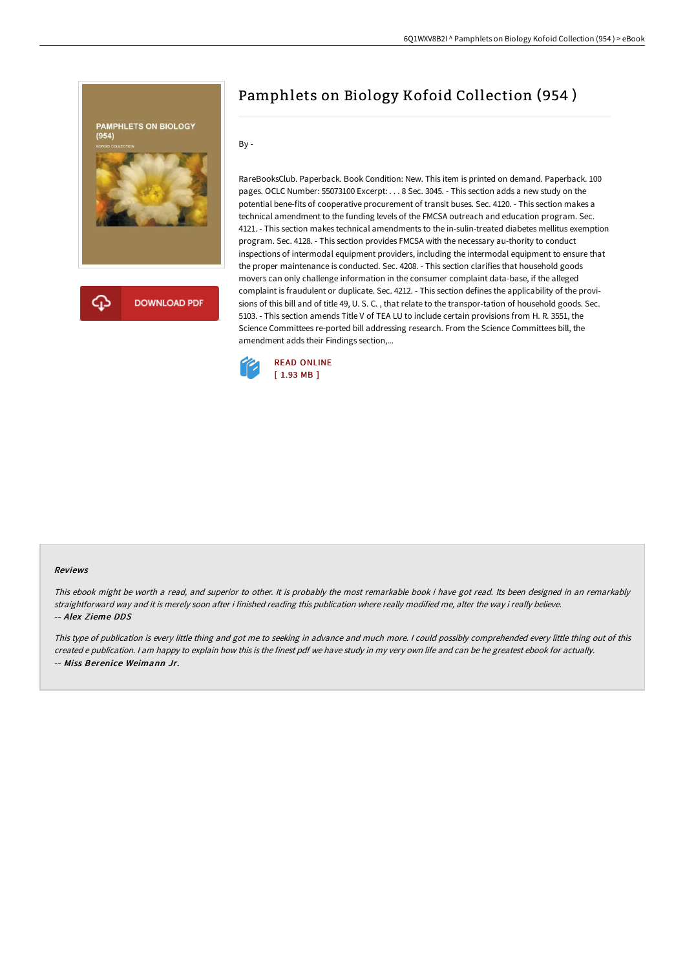

## Pamphlets on Biology Kofoid Collection (954 )

By -

RareBooksClub. Paperback. Book Condition: New. This item is printed on demand. Paperback. 100 pages. OCLC Number: 55073100 Excerpt: . . . 8 Sec. 3045. - This section adds a new study on the potential bene-fits of cooperative procurement of transit buses. Sec. 4120. - This section makes a technical amendment to the funding levels of the FMCSA outreach and education program. Sec. 4121. - This section makes technical amendments to the in-sulin-treated diabetes mellitus exemption program. Sec. 4128. - This section provides FMCSA with the necessary au-thority to conduct inspections of intermodal equipment providers, including the intermodal equipment to ensure that the proper maintenance is conducted. Sec. 4208. - This section clarifies that household goods movers can only challenge information in the consumer complaint data-base, if the alleged complaint is fraudulent or duplicate. Sec. 4212. - This section defines the applicability of the provisions of this bill and of title 49, U. S. C. , that relate to the transpor-tation of household goods. Sec. 5103. - This section amends Title V of TEA LU to include certain provisions from H. R. 3551, the Science Committees re-ported bill addressing research. From the Science Committees bill, the amendment adds their Findings section,...



## Reviews

This ebook might be worth <sup>a</sup> read, and superior to other. It is probably the most remarkable book i have got read. Its been designed in an remarkably straightforward way and it is merely soon after i finished reading this publication where really modified me, alter the way i really believe. -- Alex Zieme DDS

This type of publication is every little thing and got me to seeking in advance and much more. <sup>I</sup> could possibly comprehended every little thing out of this created <sup>e</sup> publication. <sup>I</sup> am happy to explain how this is the finest pdf we have study in my very own life and can be he greatest ebook for actually. -- Miss Berenice Weimann Jr.